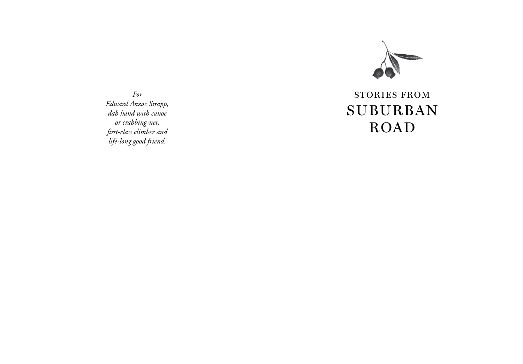

*For Edward Anzac Strapp, dab hand with canoe or crabbing-net, first-class climber and life-long good friend.*

## Storie s from SUBURBAN **ROAD**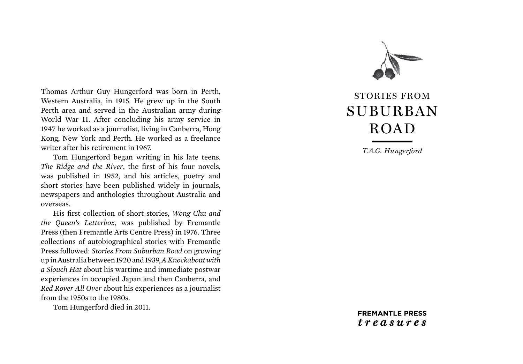Thomas Arthur Guy Hungerford was born in Perth, Western Australia, in 1915. He grew up in the South Perth area and served in the Australian army during World War II. After concluding his army service in 1947 he worked as a journalist, living in Canberra, Hong Kong, New York and Perth. He worked as a freelance writer after his retirement in 1967.

Tom Hungerford began writing in his late teens. *The Ridge and the River*, the first of his four novels, was published in 1952, and his articles, poetry and short stories have been published widely in journals, newspapers and anthologies throughout Australia and overseas.

His first collection of short stories, *Wong Chu and the Queen's Letterbox*, was published by Fremantle Press (then Fremantle Arts Centre Press) in 1976. Three collections of autobiographical stories with Fremantle Press followed: *Stories From Suburban Road* on growing up in Australia between 1920 and 1939, *A Knockabout with a Slouch Hat* about his wartime and immediate postwar experiences in occupied Japan and then Canberra, and *Red Rover All Over* about his experiences as a journalist from the 1950s to the 1980s.

Tom Hungerford died in 2011.



# Storie s from SUBURBAN **ROAD**

*T.A.G. Hungerford*

**FREMANTLE PRESS**  $t$ reasures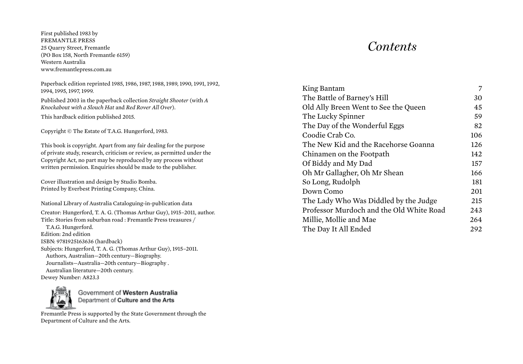First published 1983 by FREMANTLE PRESS 25 Quarry Street, Fremantle (PO Box 158, North Fremantle 6159) Western Australia www.fremantlepress.com.au

Paperback edition reprinted 1985, 1986, 1987, 1988, 1989, 1990, 1991, 1992, 1994, 1995, 1997, 1999. Published 2003 in the paperback collection *Straight Shooter* (with *A Knockabout with a Slouch Hat* and *Red Rover All Over*). This hardback edition published 2015. Copyright © The Estate of T.A.G. Hungerford, 1983. This book is copyright. Apart from any fair dealing for the purpose of private study, research, criticism or review, as permitted under the Copyright Act, no part may be reproduced by any process without written permission. Enquiries should be made to the publisher. Cover illustration and design by Studio Bomba. Printed by Everbest Printing Company, China. National Library of Australia Cataloguing-in-publication data Creator: Hungerford, T. A. G. (Thomas Arthur Guy), 1915–2011, author. Title: Stories from suburban road : Fremantle Press treasures / T.A.G. Hungerford. Edition: 2nd edition ISBN: 9781925163636 (hardback) Subjects: Hungerford, T. A. G. (Thomas Arthur Guy), 1915–2011. Authors, Australian—20th century—Biography. Journalists—Australia—20th century—Biography .

 Australian literature—20th century. Dewey Number: A823.3



Government of Western Australia Department of Culture and the Arts

Fremantle Press is supported by the State Government through the Department of Culture and the Arts.

## *Contents*

| King Bantam                              | 7   |
|------------------------------------------|-----|
| The Battle of Barney's Hill              | 30  |
| Old Ally Breen Went to See the Queen     | 45  |
| The Lucky Spinner                        | 59  |
| The Day of the Wonderful Eggs            | 82  |
| Coodie Crab Co.                          | 106 |
| The New Kid and the Racehorse Goanna     | 126 |
| Chinamen on the Footpath                 | 142 |
| Of Biddy and My Dad                      | 157 |
| Oh Mr Gallagher, Oh Mr Shean             | 166 |
| So Long, Rudolph                         | 181 |
| Down Como                                | 201 |
| The Lady Who Was Diddled by the Judge    | 215 |
| Professor Murdoch and the Old White Road | 243 |
| Millie, Mollie and Mae                   | 264 |
| The Day It All Ended                     | 292 |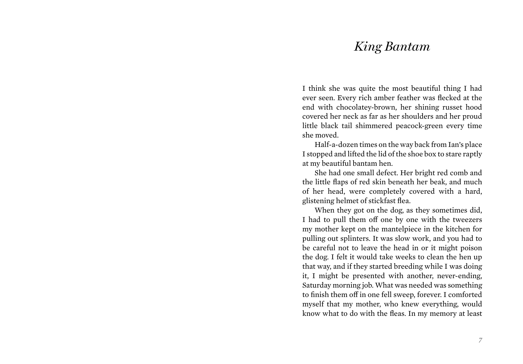### *King Bantam*

I think she was quite the most beautiful thing I had ever seen. Every rich amber feather was flecked at the end with chocolatey-brown, her shining russet hood covered her neck as far as her shoulders and her proud little black tail shimmered peacock-green every time she moved.

Half-a-dozen times on the way back from Ian's place I stopped and lifted the lid of the shoe box to stare raptly at my beautiful bantam hen.

She had one small defect. Her bright red comb and the little flaps of red skin beneath her beak, and much of her head, were completely covered with a hard, glistening helmet of stickfast flea.

When they got on the dog, as they sometimes did, I had to pull them off one by one with the tweezers my mother kept on the mantelpiece in the kitchen for pulling out splinters. It was slow work, and you had to be careful not to leave the head in or it might poison the dog. I felt it would take weeks to clean the hen up that way, and if they started breeding while I was doing it, I might be presented with another, never-ending, Saturday morning job. What was needed was something to finish them off in one fell sweep, forever. I comforted myself that my mother, who knew everything, would know what to do with the fleas. In my memory at least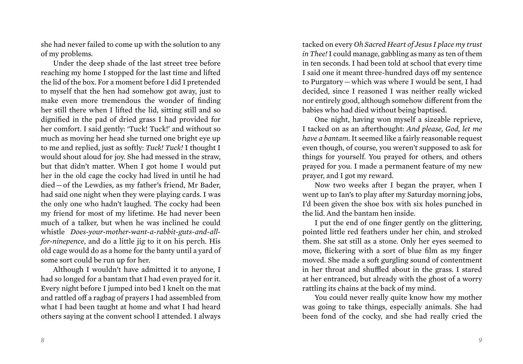she had never failed to come up with the solution to any of my problems.

Under the deep shade of the last street tree before reaching my home I stopped for the last time and lifted the lid of the box. For a moment before I did I pretended to myself that the hen had somehow got away, just to make even more tremendous the wonder of finding her still there when I lifted the lid, sitting still and so dignified in the pad of dried grass I had provided for her comfort. I said gently: 'Tuck! Tuck!' and without so much as moving her head she turned one bright eye up to me and replied, just as softly: *Tuck! Tuck!* I thought I would shout aloud for joy. She had messed in the straw, but that didn't matter. When I got home I would put her in the old cage the cocky had lived in until he had died — of the Lewdies, as my father's friend, Mr Bader, had said one night when they were playing cards. I was the only one who hadn't laughed. The cocky had been my friend for most of my lifetime. He had never been much of a talker, but when he was inclined he could whistle *Does-your-mother-want-a-rabbit-guts-and-allfor-ninepence*, and do a little jig to it on his perch. His old cage would do as a home for the banty until a yard of some sort could be run up for her.

Although I wouldn't have admitted it to anyone, I had so longed for a bantam that I had even prayed for it. Every night before I jumped into bed I knelt on the mat and rattled off a ragbag of prayers I had assembled from what I had been taught at home and what I had heard others saying at the convent school I attended. I always

tacked on every *Oh Sacred Heart of Jesus I place my trust in Thee!* I could manage, gabbling as many as ten of them in ten seconds. I had been told at school that every time I said one it meant three-hundred days off my sentence to Purgatory — which was where I would be sent, I had decided, since I reasoned I was neither really wicked nor entirely good, although somehow different from the babies who had died without being baptised.

One night, having won myself a sizeable reprieve, I tacked on as an afterthought: *And please, God, let me have a bantam*. It seemed like a fairly reasonable request even though, of course, you weren't supposed to ask for things for yourself. You prayed for others, and others prayed for you. I made a permanent feature of my new prayer, and I got my reward.

Now two weeks after I began the prayer, when I went up to Ian's to play after my Saturday morning jobs, I'd been given the shoe box with six holes punched in the lid. And the bantam hen inside.

I put the end of one finger gently on the glittering, pointed little red feathers under her chin, and stroked them. She sat still as a stone. Only her eyes seemed to move, flickering with a sort of blue film as my finger moved. She made a soft gurgling sound of contentment in her throat and shuffled about in the grass. I stared at her entranced, but already with the ghost of a worry rattling its chains at the back of my mind.

You could never really quite know how my mother was going to take things, especially animals. She had been fond of the cocky, and she had really cried the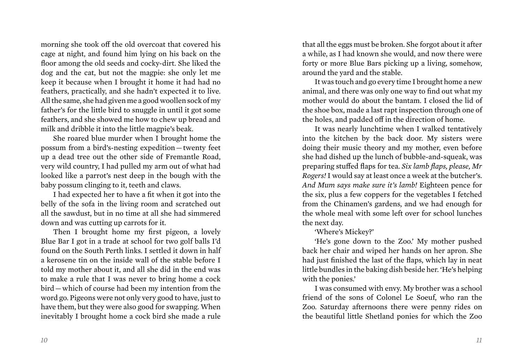morning she took off the old overcoat that covered his cage at night, and found him lying on his back on the floor among the old seeds and cocky-dirt. She liked the dog and the cat, but not the magpie: she only let me keep it because when I brought it home it had had no feathers, practically, and she hadn't expected it to live. All the same, she had given me a good woollen sock of my father's for the little bird to snuggle in until it got some feathers, and she showed me how to chew up bread and milk and dribble it into the little magpie's beak.

She roared blue murder when I brought home the possum from a bird's-nesting expedition — twenty feet up a dead tree out the other side of Fremantle Road, very wild country, I had pulled my arm out of what had looked like a parrot's nest deep in the bough with the baby possum clinging to it, teeth and claws.

I had expected her to have a fit when it got into the belly of the sofa in the living room and scratched out all the sawdust, but in no time at all she had simmered down and was cutting up carrots for it.

Then I brought home my first pigeon, a lovely Blue Bar I got in a trade at school for two golf balls I'd found on the South Perth links. I settled it down in half a kerosene tin on the inside wall of the stable before I told my mother about it, and all she did in the end was to make a rule that I was never to bring home a cock bird — which of course had been my intention from the word go. Pigeons were not only very good to have, just to have them, but they were also good for swapping. When inevitably I brought home a cock bird she made a rule

that all the eggs must be broken. She forgot about it after a while, as I had known she would, and now there were forty or more Blue Bars picking up a living, somehow, around the yard and the stable.

It was touch and go every time I brought home a new animal, and there was only one way to find out what my mother would do about the bantam. I closed the lid of the shoe box, made a last rapt inspection through one of the holes, and padded off in the direction of home.

It was nearly lunchtime when I walked tentatively into the kitchen by the back door. My sisters were doing their music theory and my mother, even before she had dished up the lunch of bubble-and-squeak, was preparing stuffed flaps for tea. *Six lamb flaps, please, Mr Rogers!* I would say at least once a week at the butcher's. *And Mum says make sure it's lamb!* Eighteen pence for the six, plus a few coppers for the vegetables I fetched from the Chinamen's gardens, and we had enough for the whole meal with some left over for school lunches the next day.

#### 'Where's Mickey?'

'He's gone down to the Zoo.' My mother pushed back her chair and wiped her hands on her apron. She had just finished the last of the flaps, which lay in neat little bundles in the baking dish beside her. 'He's helping with the ponies.'

I was consumed with envy. My brother was a school friend of the sons of Colonel Le Soeuf, who ran the Zoo. Saturday afternoons there were penny rides on the beautiful little Shetland ponies for which the Zoo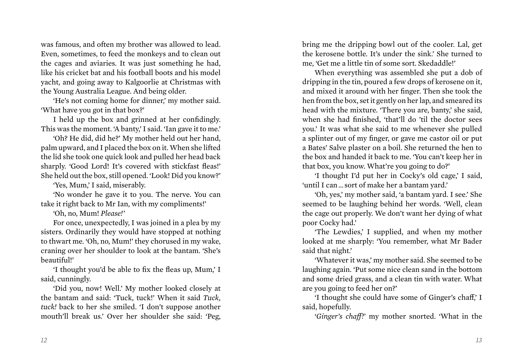was famous, and often my brother was allowed to lead. Even, sometimes, to feed the monkeys and to clean out the cages and aviaries. It was just something he had, like his cricket bat and his football boots and his model yacht, and going away to Kalgoorlie at Christmas with the Young Australia League. And being older.

'He's not coming home for dinner,' my mother said. 'What have you got in that box?'

I held up the box and grinned at her confidingly. This was the moment. 'A banty,' I said. 'Ian gave it to me.'

'Oh? He did, did he?' My mother held out her hand, palm upward, and I placed the box on it. When she lifted the lid she took one quick look and pulled her head back sharply. 'Good Lord! It's covered with stickfast fleas!' She held out the box, still opened. 'Look! Did you know?'

'Yes, Mum,' I said, miserably.

'No wonder he gave it to you. The nerve. You can take it right back to Mr Ian, with my compliments!'

'Oh, no, Mum! *Please!*'

For once, unexpectedly, I was joined in a plea by my sisters. Ordinarily they would have stopped at nothing to thwart me. 'Oh, no, Mum!' they chorused in my wake, craning over her shoulder to look at the bantam. 'She's beautiful!'

'I thought you'd be able to fix the fleas up, Mum,' I said, cunningly.

'Did you, now! Well.' My mother looked closely at the bantam and said: 'Tuck, tuck!' When it said *Tuck, tuck!* back to her she smiled. 'I don't suppose another mouth'll break us.' Over her shoulder she said: 'Peg,

bring me the dripping bowl out of the cooler. Lal, get the kerosene bottle. It's under the sink.' She turned to me, 'Get me a little tin of some sort. Skedaddle!'

When everything was assembled she put a dob of dripping in the tin, poured a few drops of kerosene on it, and mixed it around with her finger. Then she took the hen from the box, set it gently on her lap, and smeared its head with the mixture. 'There you are, banty,' she said, when she had finished, 'that'll do 'til the doctor sees you.' It was what she said to me whenever she pulled a splinter out of my finger, or gave me castor oil or put a Bates' Salve plaster on a boil. She returned the hen to the box and handed it back to me. 'You can't keep her in that box, you know. What're you going to do?'

'I thought I'd put her in Cocky's old cage,' I said, 'until I can … sort of make her a bantam yard.'

'Oh, yes,' my mother said, 'a bantam yard. I see.' She seemed to be laughing behind her words. 'Well, clean the cage out properly. We don't want her dying of what poor Cocky had.'

'The Lewdies,' I supplied, and when my mother looked at me sharply: 'You remember, what Mr Bader said that night.'

'Whatever it was,' my mother said. She seemed to be laughing again. 'Put some nice clean sand in the bottom and some dried grass, and a clean tin with water. What are you going to feed her on?'

'I thought she could have some of Ginger's chaff,' I said, hopefully.

'*Ginger's chaff!*' my mother snorted. 'What in the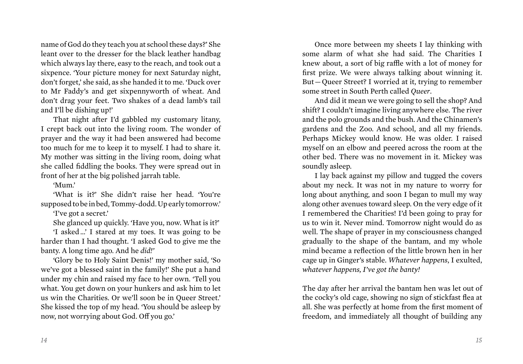name of God do they teach you at school these days?' She leant over to the dresser for the black leather handbag which always lay there, easy to the reach, and took out a sixpence. 'Your picture money for next Saturday night, don't forget,' she said, as she handed it to me. 'Duck over to Mr Faddy's and get sixpennyworth of wheat. And don't drag your feet. Two shakes of a dead lamb's tail and I'll be dishing up!'

That night after I'd gabbled my customary litany, I crept back out into the living room. The wonder of prayer and the way it had been answered had become too much for me to keep it to myself. I had to share it. My mother was sitting in the living room, doing what she called fiddling the books. They were spread out in front of her at the big polished jarrah table.

'Mum.'

'What is it?' She didn't raise her head. 'You're supposed to be in bed, Tommy-dodd. Up early tomorrow.'

'I've got a secret.'

She glanced up quickly. 'Have you, now. What is it?'

'I asked …' I stared at my toes. It was going to be harder than I had thought. 'I asked God to give me the banty. A long time ago. And he *did!'*

'Glory be to Holy Saint Denis!' my mother said, 'So we've got a blessed saint in the family!' She put a hand under my chin and raised my face to her own. 'Tell you what. You get down on your hunkers and ask him to let us win the Charities. Or we'll soon be in Queer Street.' She kissed the top of my head. 'You should be asleep by now, not worrying about God. Off you go.'

Once more between my sheets I lay thinking with some alarm of what she had said. The Charities I knew about, a sort of big raffle with a lot of money for first prize. We were always talking about winning it. But — Queer Street? I worried at it, trying to remember some street in South Perth called *Queer*.

And did it mean we were going to sell the shop? And shift? I couldn't imagine living anywhere else. The river and the polo grounds and the bush. And the Chinamen's gardens and the Zoo. And school, and all my friends. Perhaps Mickey would know. He was older. I raised myself on an elbow and peered across the room at the other bed. There was no movement in it. Mickey was soundly asleep.

I lay back against my pillow and tugged the covers about my neck. It was not in my nature to worry for long about anything, and soon I began to mull my way along other avenues toward sleep. On the very edge of it I remembered the Charities! I'd been going to pray for us to win it. Never mind. Tomorrow night would do as well. The shape of prayer in my consciousness changed gradually to the shape of the bantam, and my whole mind became a reflection of the little brown hen in her cage up in Ginger's stable. *Whatever happens*, I exulted, *whatever happens, I've got the banty!*

The day after her arrival the bantam hen was let out of the cocky's old cage, showing no sign of stickfast flea at all. She was perfectly at home from the first moment of freedom, and immediately all thought of building any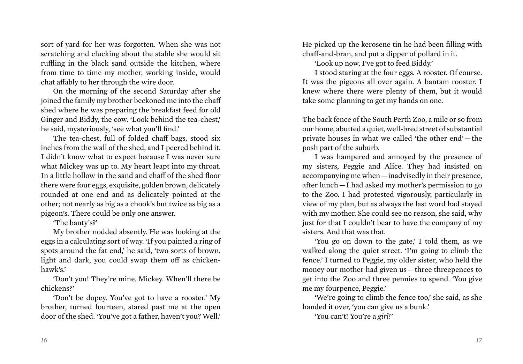sort of yard for her was forgotten. When she was not scratching and clucking about the stable she would sit ruffling in the black sand outside the kitchen, where from time to time my mother, working inside, would chat affably to her through the wire door.

On the morning of the second Saturday after she joined the family my brother beckoned me into the chaff shed where he was preparing the breakfast feed for old Ginger and Biddy, the cow. 'Look behind the tea-chest,' he said, mysteriously, 'see what you'll find.'

The tea-chest, full of folded chaff bags, stood six inches from the wall of the shed, and I peered behind it. I didn't know what to expect because I was never sure what Mickey was up to. My heart leapt into my throat. In a little hollow in the sand and chaff of the shed floor there were four eggs, exquisite, golden brown, delicately rounded at one end and as delicately pointed at the other; not nearly as big as a chook's but twice as big as a pigeon's. There could be only one answer.

'The banty's?'

My brother nodded absently. He was looking at the eggs in a calculating sort of way. 'If you painted a ring of spots around the fat end,' he said, 'two sorts of brown, light and dark, you could swap them off as chickenhawk's.'

'Don't you! They're mine, Mickey. When'll there be chickens?'

'Don't be dopey. You've got to have a rooster.' My brother, turned fourteen, stared past me at the open door of the shed. 'You've got a father, haven't you? Well.' He picked up the kerosene tin he had been filling with chaff-and-bran, and put a dipper of pollard in it.

'Look up now, I've got to feed Biddy.'

I stood staring at the four eggs. A rooster. Of course. It was the pigeons all over again. A bantam rooster. I knew where there were plenty of them, but it would take some planning to get my hands on one.

The back fence of the South Perth Zoo, a mile or so from our home, abutted a quiet, well-bred street of substantial private houses in what we called 'the other end' — the posh part of the suburb.

I was hampered and annoyed by the presence of my sisters, Peggie and Alice. They had insisted on accompanying me when — inadvisedly in their presence, after lunch — I had asked my mother's permission to go to the Zoo. I had protested vigorously, particularly in view of my plan, but as always the last word had stayed with my mother. She could see no reason, she said, why just for that I couldn't bear to have the company of my sisters. And that was that.

'You go on down to the gate,' I told them, as we walked along the quiet street. 'I'm going to climb the fence.' I turned to Peggie, my older sister, who held the money our mother had given us – three three pences to get into the Zoo and three pennies to spend. 'You give me my fourpence, Peggie.'

'We're going to climb the fence too,' she said, as she handed it over, 'you can give us a bunk.'

'You can't! You're a *girl!*'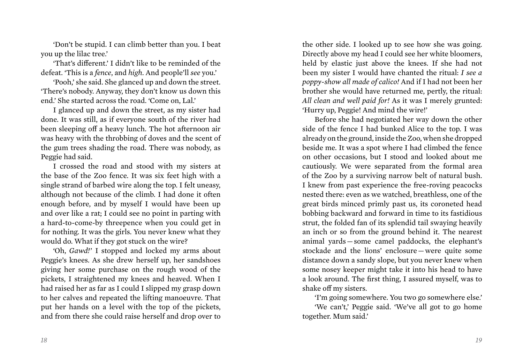'Don't be stupid. I can climb better than you. I beat you up the lilac tree.'

'That's different.' I didn't like to be reminded of the defeat. 'This is a *fence*, and *high*. And people'll *see* you.'

'Pooh,' she said. She glanced up and down the street. 'There's nobody. Anyway, they don't know us down this end.' She started across the road. 'Come on, Lal.'

I glanced up and down the street, as my sister had done. It was still, as if everyone south of the river had been sleeping off a heavy lunch. The hot afternoon air was heavy with the throbbing of doves and the scent of the gum trees shading the road. There was nobody, as Peggie had said.

I crossed the road and stood with my sisters at the base of the Zoo fence. It was six feet high with a single strand of barbed wire along the top. I felt uneasy, although not because of the climb. I had done it often enough before, and by myself I would have been up and over like a rat; I could see no point in parting with a hard-to-come-by threepence when you could get in for nothing. It was the girls. You never knew what they would do. What if they got stuck on the wire?

'Oh, *Gawd!*' I stopped and locked my arms about Peggie's knees. As she drew herself up, her sandshoes giving her some purchase on the rough wood of the pickets, I straightened my knees and heaved. When I had raised her as far as I could I slipped my grasp down to her calves and repeated the lifting manoeuvre. That put her hands on a level with the top of the pickets, and from there she could raise herself and drop over to

the other side. I looked up to see how she was going. Directly above my head I could see her white bloomers, held by elastic just above the knees. If she had not been my sister I would have chanted the ritual: *I see a poppy-show all made of calico!* And if I had not been her brother she would have returned me, pertly, the ritual: *All clean and well paid for!* As it was I merely grunted: 'Hurry up, Peggie! And mind the wire!'

Before she had negotiated her way down the other side of the fence I had bunked Alice to the top. I was already on the ground, inside the Zoo, when she dropped beside me. It was a spot where I had climbed the fence on other occasions, but I stood and looked about me cautiously. We were separated from the formal area of the Zoo by a surviving narrow belt of natural bush. I knew from past experience the free-roving peacocks nested there: even as we watched, breathless, one of the great birds minced primly past us, its coroneted head bobbing backward and forward in time to its fastidious strut, the folded fan of its splendid tail swaying heavily an inch or so from the ground behind it. The nearest animal yards — some camel paddocks, the elephant's stockade and the lions' enclosure — were quite some distance down a sandy slope, but you never knew when some nosey keeper might take it into his head to have a look around. The first thing, I assured myself, was to shake off my sisters.

'I'm going somewhere. You two go somewhere else.'

'We can't,' Peggie said. 'We've all got to go home together. Mum said.'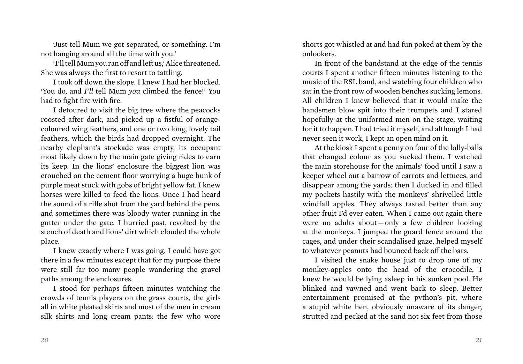'Just tell Mum we got separated, or something. I'm not hanging around all the time with you.'

'I'll tell Mum you ran off and left us,' Alice threatened. She was always the first to resort to tattling.

I took off down the slope. I knew I had her blocked. 'You do, and *I'll* tell Mum *you* climbed the fence!' You had to fight fire with fire.

I detoured to visit the big tree where the peacocks roosted after dark, and picked up a fistful of orangecoloured wing feathers, and one or two long, lovely tail feathers, which the birds had dropped overnight. The nearby elephant's stockade was empty, its occupant most likely down by the main gate giving rides to earn its keep. In the lions' enclosure the biggest lion was crouched on the cement floor worrying a huge hunk of purple meat stuck with gobs of bright yellow fat. I knew horses were killed to feed the lions. Once I had heard the sound of a rifle shot from the yard behind the pens, and sometimes there was bloody water running in the gutter under the gate. I hurried past, revolted by the stench of death and lions' dirt which clouded the whole place.

I knew exactly where I was going. I could have got there in a few minutes except that for my purpose there were still far too many people wandering the gravel paths among the enclosures.

I stood for perhaps fifteen minutes watching the crowds of tennis players on the grass courts, the girls all in white pleated skirts and most of the men in cream silk shirts and long cream pants: the few who wore

shorts got whistled at and had fun poked at them by the onlookers.

In front of the bandstand at the edge of the tennis courts I spent another fifteen minutes listening to the music of the RSL band, and watching four children who sat in the front row of wooden benches sucking lemons. All children I knew believed that it would make the bandsmen blow spit into their trumpets and I stared hopefully at the uniformed men on the stage, waiting for it to happen. I had tried it myself, and although I had never seen it work, I kept an open mind on it.

At the kiosk I spent a penny on four of the lolly-balls that changed colour as you sucked them. I watched the main storehouse for the animals' food until I saw a keeper wheel out a barrow of carrots and lettuces, and disappear among the yards: then I ducked in and filled my pockets hastily with the monkeys' shrivelled little windfall apples. They always tasted better than any other fruit I'd ever eaten. When I came out again there were no adults about — only a few children looking at the monkeys. I jumped the guard fence around the cages, and under their scandalised gaze, helped myself to whatever peanuts had bounced back off the bars.

I visited the snake house just to drop one of my monkey-apples onto the head of the crocodile, I knew he would be lying asleep in his sunken pool. He blinked and yawned and went back to sleep. Better entertainment promised at the python's pit, where a stupid white hen, obviously unaware of its danger, strutted and pecked at the sand not six feet from those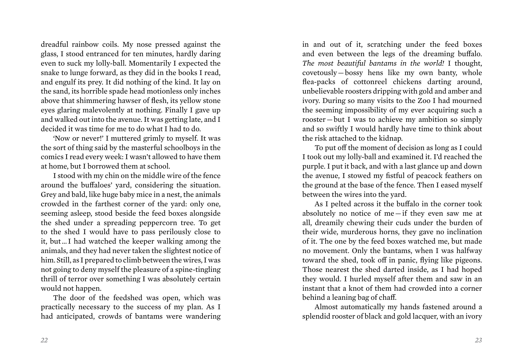dreadful rainbow coils. My nose pressed against the glass, I stood entranced for ten minutes, hardly daring even to suck my lolly-ball. Momentarily I expected the snake to lunge forward, as they did in the books I read, and engulf its prey. It did nothing of the kind. It lay on the sand, its horrible spade head motionless only inches above that shimmering hawser of flesh, its yellow stone eyes glaring malevolently at nothing. Finally I gave up and walked out into the avenue. It was getting late, and I decided it was time for me to do what I had to do.

'Now or never!' I muttered grimly to myself. It was the sort of thing said by the masterful schoolboys in the comics I read every week: I wasn't allowed to have them at home, but I borrowed them at school.

I stood with my chin on the middle wire of the fence around the buffaloes' yard, considering the situation. Grey and bald, like huge baby mice in a nest, the animals crowded in the farthest corner of the yard: only one, seeming asleep, stood beside the feed boxes alongside the shed under a spreading peppercorn tree. To get to the shed I would have to pass perilously close to it, but … I had watched the keeper walking among the animals, and they had never taken the slightest notice of him. Still, as I prepared to climb between the wires, I was not going to deny myself the pleasure of a spine-tingling thrill of terror over something I was absolutely certain would not happen.

The door of the feedshed was open, which was practically necessary to the success of my plan. As I had anticipated, crowds of bantams were wandering in and out of it, scratching under the feed boxes and even between the legs of the dreaming buffalo. *The most beautiful bantams in the world!* I thought, covetously — bossy hens like my own banty, whole flea-packs of cottonreel chickens darting around, unbelievable roosters dripping with gold and amber and ivory. During so many visits to the Zoo I had mourned the seeming impossibility of my ever acquiring such a rooster — but I was to achieve my ambition so simply and so swiftly I would hardly have time to think about the risk attached to the kidnap.

To put off the moment of decision as long as I could I took out my lolly-ball and examined it. I'd reached the purple. I put it back, and with a last glance up and down the avenue, I stowed my fistful of peacock feathers on the ground at the base of the fence. Then I eased myself between the wires into the yard.

As I pelted across it the buffalo in the corner took absolutely no notice of me — if they even saw me at all, dreamily chewing their cuds under the burden of their wide, murderous horns, they gave no inclination of it. The one by the feed boxes watched me, but made no movement. Only the bantams, when I was halfway toward the shed, took off in panic, flying like pigeons. Those nearest the shed darted inside, as I had hoped they would. I hurled myself after them and saw in an instant that a knot of them had crowded into a corner behind a leaning bag of chaff.

Almost automatically my hands fastened around a splendid rooster of black and gold lacquer, with an ivory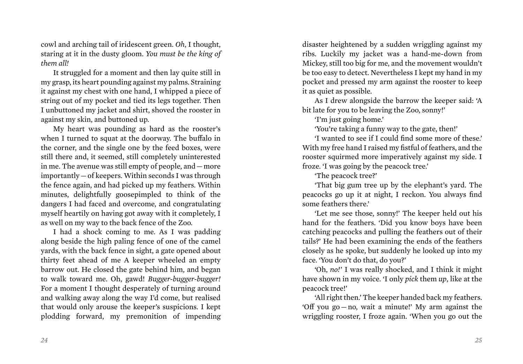cowl and arching tail of iridescent green. *Oh*, I thought, staring at it in the dusty gloom. *You must be the king of them all!*

It struggled for a moment and then lay quite still in my grasp, its heart pounding against my palms. Straining it against my chest with one hand, I whipped a piece of string out of my pocket and tied its legs together. Then I unbuttoned my jacket and shirt, shoved the rooster in against my skin, and buttoned up.

My heart was pounding as hard as the rooster's when I turned to squat at the doorway. The buffalo in the corner, and the single one by the feed boxes, were still there and, it seemed, still completely uninterested in me. The avenue was still empty of people, and — more importantly — of keepers. Within seconds I was through the fence again, and had picked up my feathers. Within minutes, delightfully goosepimpled to think of the dangers I had faced and overcome, and congratulating myself heartily on having got away with it completely, I as well on my way to the back fence of the Zoo.

I had a shock coming to me. As I was padding along beside the high paling fence of one of the camel yards, with the back fence in sight, a gate opened about thirty feet ahead of me A keeper wheeled an empty barrow out. He closed the gate behind him, and began to walk toward me. Oh, gawd! *Bugger-bugger-bugger!*  For a moment I thought desperately of turning around and walking away along the way I'd come, but realised that would only arouse the keeper's suspicions. I kept plodding forward, my premonition of impending

disaster heightened by a sudden wriggling against my ribs. Luckily my jacket was a hand-me-down from Mickey, still too big for me, and the movement wouldn't be too easy to detect. Nevertheless I kept my hand in my pocket and pressed my arm against the rooster to keep it as quiet as possible.

As I drew alongside the barrow the keeper said: 'A bit late for you to be leaving the Zoo, sonny!'

'I'm just going home.'

'You're taking a funny way to the gate, then!'

'I wanted to see if I could find some more of these.' With my free hand I raised my fistful of feathers, and the rooster squirmed more imperatively against my side. I froze. 'I was going by the peacock tree.'

'The peacock tree?'

'That big gum tree up by the elephant's yard. The peacocks go up it at night, I reckon. You always find some feathers there.'

'Let me see those, sonny!' The keeper held out his hand for the feathers. 'Did you know boys have been catching peacocks and pulling the feathers out of their tails?' He had been examining the ends of the feathers closely as he spoke, but suddenly he looked up into my face. 'You don't do that, do you?'

'Oh, *no!*' I was really shocked, and I think it might have shown in my voice. 'I only *pick* them *up*, like at the peacock tree!'

'All right then.' The keeper handed back my feathers. 'Off you go — no, wait a minute!' My arm against the wriggling rooster, I froze again. 'When you go out the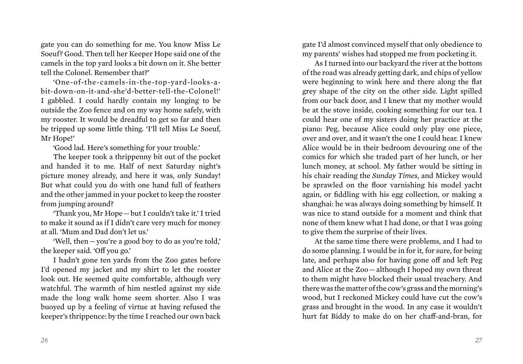gate you can do something for me. You know Miss Le Soeuf? Good. Then tell her Keeper Hope said one of the camels in the top yard looks a bit down on it. She better tell the Colonel. Remember that?'

'One-of-the-camels-in-the-top-yard-looks-abit-down-on-it-and-she'd-better-tell-the-Colonel!' I gabbled. I could hardly contain my longing to be outside the Zoo fence and on my way home safely, with my rooster. It would be dreadful to get so far and then be tripped up some little thing. 'I'll tell Miss Le Soeuf, Mr Hope!'

'Good lad. Here's something for your trouble.'

The keeper took a thrippenny bit out of the pocket and handed it to me. Half of next Saturday night's picture money already, and here it was, only Sunday! But what could you do with one hand full of feathers and the other jammed in your pocket to keep the rooster from jumping around?

'Thank you, Mr Hope — but I couldn't take it.' I tried to make it sound as if I didn't care very much for money at all. 'Mum and Dad don't let us.'

'Well, then — you're a good boy to do as you're told,' the keeper said. 'Off you go.'

I hadn't gone ten yards from the Zoo gates before I'd opened my jacket and my shirt to let the rooster look out. He seemed quite comfortable, although very watchful. The warmth of him nestled against my side made the long walk home seem shorter. Also I was buoyed up by a feeling of virtue at having refused the keeper's thrippence: by the time I reached our own back gate I'd almost convinced myself that only obedience to my parents' wishes had stopped me from pocketing it.

As I turned into our backyard the river at the bottom of the road was already getting dark, and chips of yellow were beginning to wink here and there along the flat grey shape of the city on the other side. Light spilled from our back door, and I knew that my mother would be at the stove inside, cooking something for our tea. I could hear one of my sisters doing her practice at the piano: Peg, because Alice could only play one piece, over and over, and it wasn't the one I could hear. I knew Alice would be in their bedroom devouring one of the comics for which she traded part of her lunch, or her lunch money, at school. My father would be sitting in his chair reading the *Sunday Times*, and Mickey would be sprawled on the floor varnishing his model yacht again, or fiddling with his egg collection, or making a shanghai: he was always doing something by himself. It was nice to stand outside for a moment and think that none of them knew what I had done, or that I was going to give them the surprise of their lives.

At the same time there were problems, and I had to do some planning. I would be in for it, for sure, for being late, and perhaps also for having gone off and left Peg and Alice at the Zoo — although I hoped my own threat to them might have blocked their usual treachery. And there was the matter of the cow's grass and the morning's wood, but I reckoned Mickey could have cut the cow's grass and brought in the wood. In any case it wouldn't hurt fat Biddy to make do on her chaff-and-bran, for